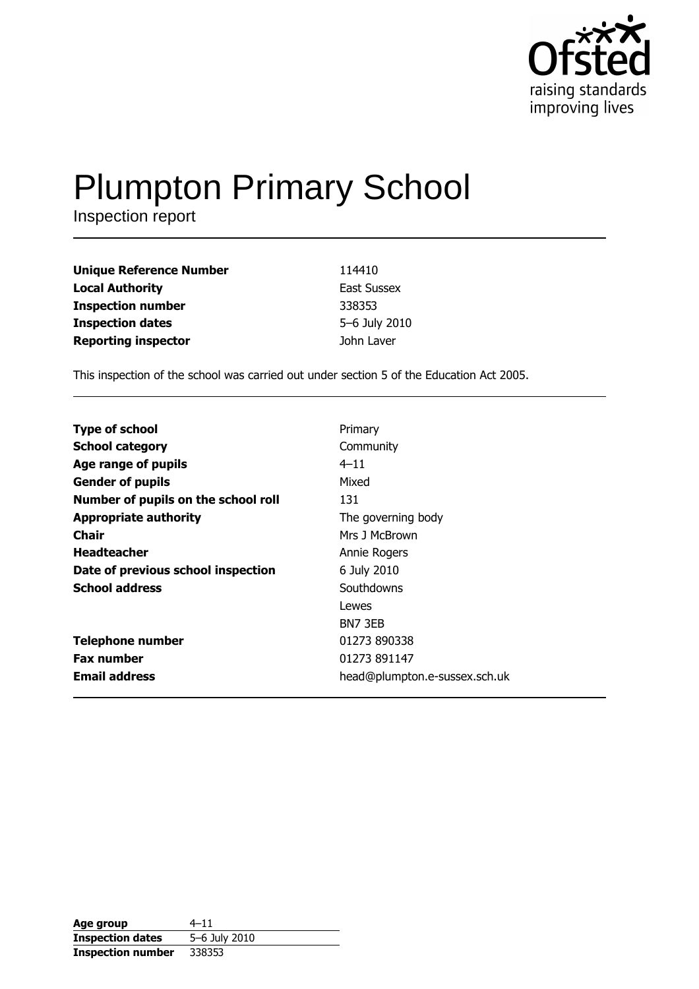

# **Plumpton Primary School**

Inspection report

| <b>Unique Reference Number</b> | 114410             |
|--------------------------------|--------------------|
| <b>Local Authority</b>         | <b>East Sussex</b> |
| <b>Inspection number</b>       | 338353             |
| <b>Inspection dates</b>        | 5-6 July 2010      |
| <b>Reporting inspector</b>     | John Laver         |

This inspection of the school was carried out under section 5 of the Education Act 2005.

| Primary                       |
|-------------------------------|
| Community                     |
| $4 - 11$                      |
| Mixed                         |
| 131                           |
| The governing body            |
| Mrs J McBrown                 |
| Annie Rogers                  |
| 6 July 2010                   |
| Southdowns                    |
| Lewes                         |
| BN7 3EB                       |
| 01273 890338                  |
| 01273 891147                  |
| head@plumpton.e-sussex.sch.uk |
|                               |

| Age group                | $4 - 11$      |
|--------------------------|---------------|
| <b>Inspection dates</b>  | 5-6 July 2010 |
| <b>Inspection number</b> | 338353        |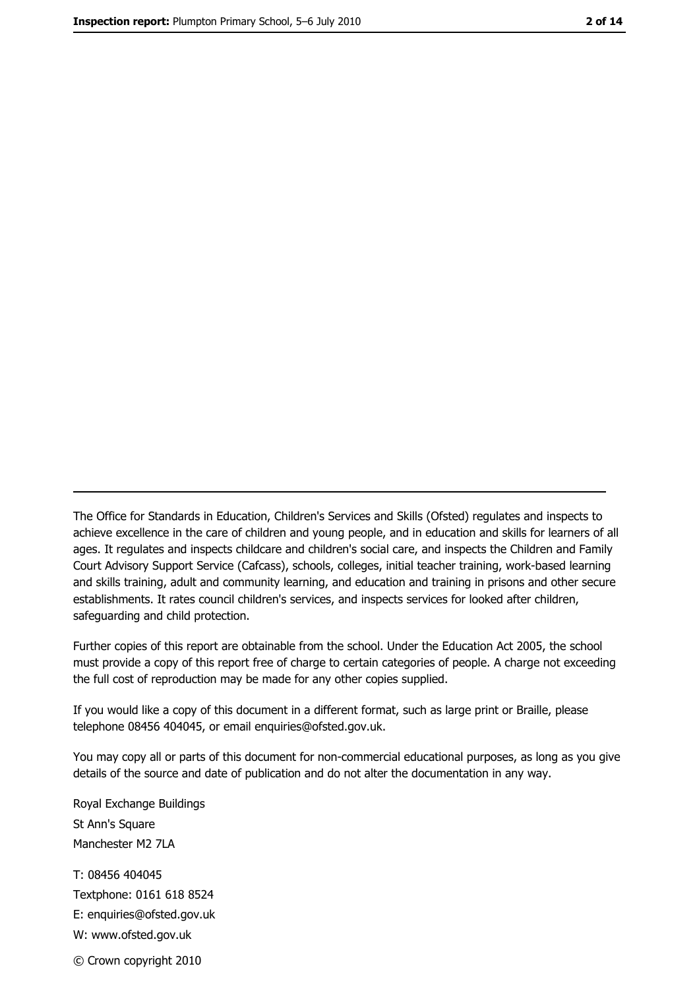The Office for Standards in Education, Children's Services and Skills (Ofsted) regulates and inspects to achieve excellence in the care of children and young people, and in education and skills for learners of all ages. It regulates and inspects childcare and children's social care, and inspects the Children and Family Court Advisory Support Service (Cafcass), schools, colleges, initial teacher training, work-based learning and skills training, adult and community learning, and education and training in prisons and other secure establishments. It rates council children's services, and inspects services for looked after children, safequarding and child protection.

Further copies of this report are obtainable from the school. Under the Education Act 2005, the school must provide a copy of this report free of charge to certain categories of people. A charge not exceeding the full cost of reproduction may be made for any other copies supplied.

If you would like a copy of this document in a different format, such as large print or Braille, please telephone 08456 404045, or email enquiries@ofsted.gov.uk.

You may copy all or parts of this document for non-commercial educational purposes, as long as you give details of the source and date of publication and do not alter the documentation in any way.

Royal Exchange Buildings St Ann's Square Manchester M2 7LA T: 08456 404045 Textphone: 0161 618 8524 E: enquiries@ofsted.gov.uk W: www.ofsted.gov.uk © Crown copyright 2010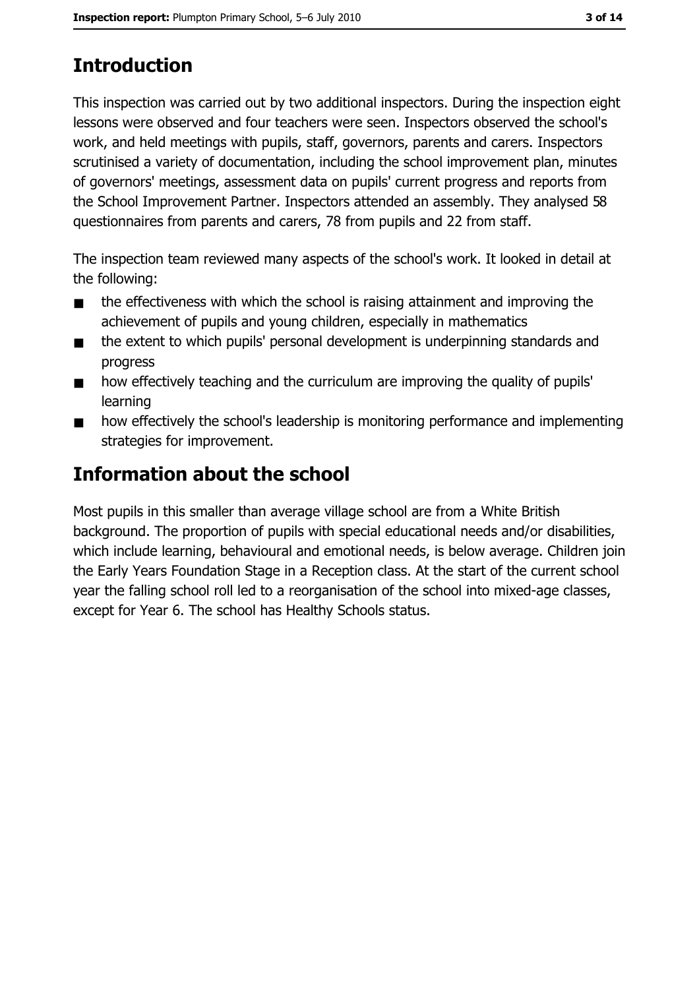# **Introduction**

This inspection was carried out by two additional inspectors. During the inspection eight lessons were observed and four teachers were seen. Inspectors observed the school's work, and held meetings with pupils, staff, governors, parents and carers. Inspectors scrutinised a variety of documentation, including the school improvement plan, minutes of governors' meetings, assessment data on pupils' current progress and reports from the School Improvement Partner. Inspectors attended an assembly. They analysed 58 questionnaires from parents and carers, 78 from pupils and 22 from staff.

The inspection team reviewed many aspects of the school's work. It looked in detail at the following:

- the effectiveness with which the school is raising attainment and improving the  $\blacksquare$ achievement of pupils and young children, especially in mathematics
- the extent to which pupils' personal development is underpinning standards and  $\blacksquare$ progress
- how effectively teaching and the curriculum are improving the quality of pupils'  $\blacksquare$ learning
- how effectively the school's leadership is monitoring performance and implementing  $\blacksquare$ strategies for improvement.

# **Information about the school**

Most pupils in this smaller than average village school are from a White British background. The proportion of pupils with special educational needs and/or disabilities, which include learning, behavioural and emotional needs, is below average. Children join the Early Years Foundation Stage in a Reception class. At the start of the current school year the falling school roll led to a reorganisation of the school into mixed-age classes, except for Year 6. The school has Healthy Schools status.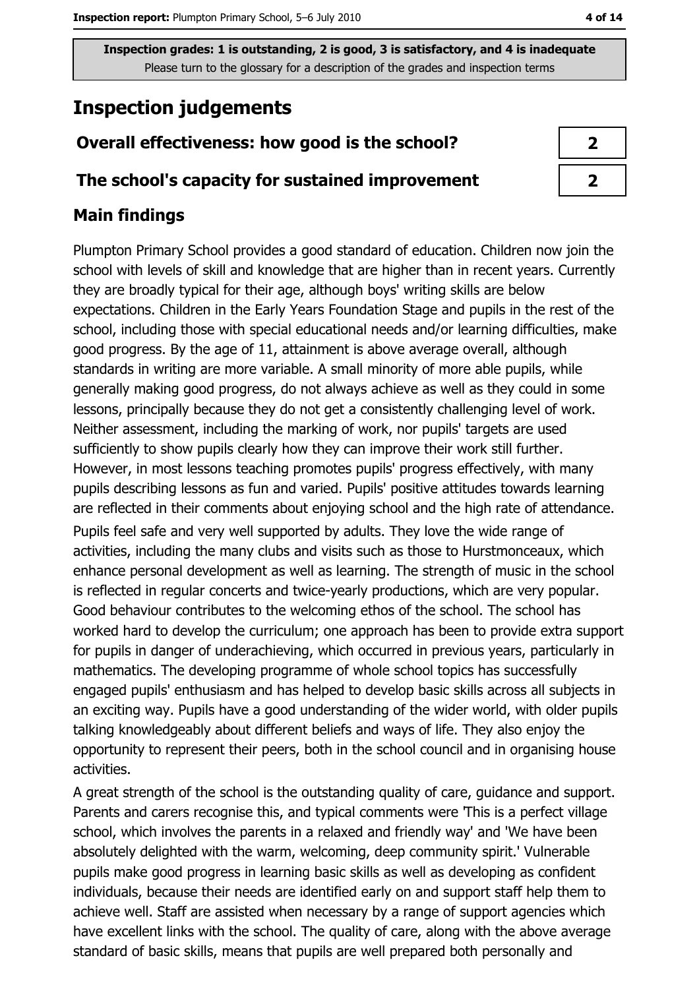# **Inspection judgements**

# Overall effectiveness: how good is the school?

## The school's capacity for sustained improvement

# **Main findings**

Plumpton Primary School provides a good standard of education. Children now join the school with levels of skill and knowledge that are higher than in recent years. Currently they are broadly typical for their age, although boys' writing skills are below expectations. Children in the Early Years Foundation Stage and pupils in the rest of the school, including those with special educational needs and/or learning difficulties, make good progress. By the age of 11, attainment is above average overall, although standards in writing are more variable. A small minority of more able pupils, while generally making good progress, do not always achieve as well as they could in some lessons, principally because they do not get a consistently challenging level of work. Neither assessment, including the marking of work, nor pupils' targets are used sufficiently to show pupils clearly how they can improve their work still further. However, in most lessons teaching promotes pupils' progress effectively, with many pupils describing lessons as fun and varied. Pupils' positive attitudes towards learning are reflected in their comments about enjoying school and the high rate of attendance. Pupils feel safe and very well supported by adults. They love the wide range of activities, including the many clubs and visits such as those to Hurstmonceaux, which enhance personal development as well as learning. The strength of music in the school is reflected in regular concerts and twice-yearly productions, which are very popular. Good behaviour contributes to the welcoming ethos of the school. The school has worked hard to develop the curriculum; one approach has been to provide extra support for pupils in danger of underachieving, which occurred in previous years, particularly in mathematics. The developing programme of whole school topics has successfully engaged pupils' enthusiasm and has helped to develop basic skills across all subjects in an exciting way. Pupils have a good understanding of the wider world, with older pupils talking knowledgeably about different beliefs and ways of life. They also enjoy the opportunity to represent their peers, both in the school council and in organising house activities.

A great strength of the school is the outstanding quality of care, guidance and support. Parents and carers recognise this, and typical comments were This is a perfect village school, which involves the parents in a relaxed and friendly way' and 'We have been absolutely delighted with the warm, welcoming, deep community spirit.' Vulnerable pupils make good progress in learning basic skills as well as developing as confident individuals, because their needs are identified early on and support staff help them to achieve well. Staff are assisted when necessary by a range of support agencies which have excellent links with the school. The quality of care, along with the above average standard of basic skills, means that pupils are well prepared both personally and

| 2 |  |
|---|--|
| 7 |  |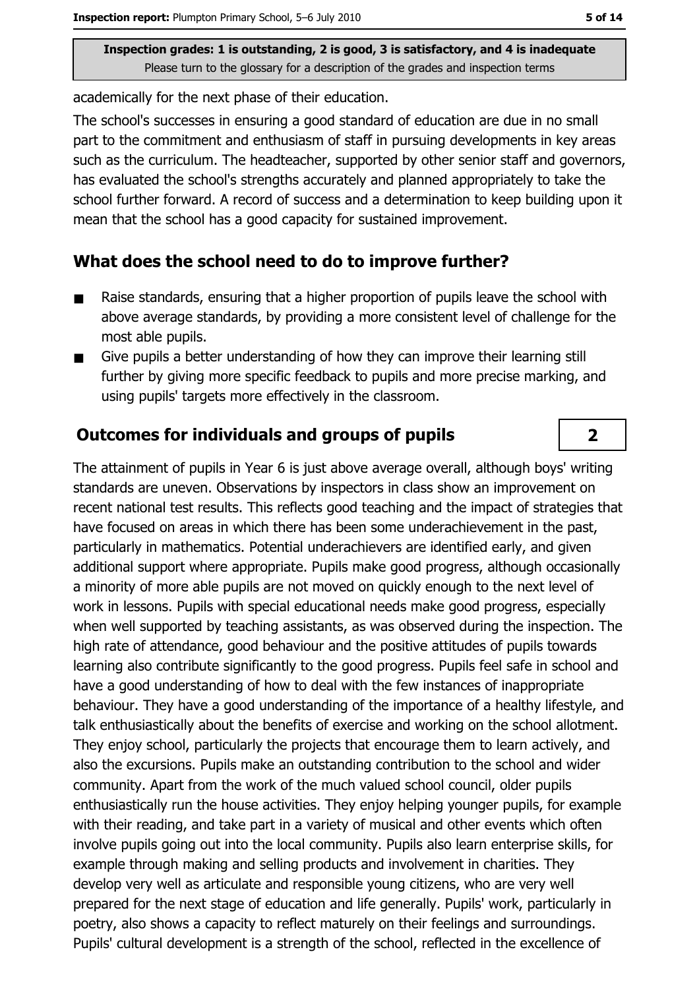academically for the next phase of their education.

The school's successes in ensuring a good standard of education are due in no small part to the commitment and enthusiasm of staff in pursuing developments in key areas such as the curriculum. The headteacher, supported by other senior staff and governors, has evaluated the school's strengths accurately and planned appropriately to take the school further forward. A record of success and a determination to keep building upon it mean that the school has a good capacity for sustained improvement.

## What does the school need to do to improve further?

- Raise standards, ensuring that a higher proportion of pupils leave the school with  $\blacksquare$ above average standards, by providing a more consistent level of challenge for the most able pupils.
- Give pupils a better understanding of how they can improve their learning still  $\blacksquare$ further by giving more specific feedback to pupils and more precise marking, and using pupils' targets more effectively in the classroom.

## **Outcomes for individuals and groups of pupils**

The attainment of pupils in Year 6 is just above average overall, although boys' writing standards are uneven. Observations by inspectors in class show an improvement on recent national test results. This reflects good teaching and the impact of strategies that have focused on areas in which there has been some underachievement in the past, particularly in mathematics. Potential underachievers are identified early, and given additional support where appropriate. Pupils make good progress, although occasionally a minority of more able pupils are not moved on quickly enough to the next level of work in lessons. Pupils with special educational needs make good progress, especially when well supported by teaching assistants, as was observed during the inspection. The high rate of attendance, good behaviour and the positive attitudes of pupils towards learning also contribute significantly to the good progress. Pupils feel safe in school and have a good understanding of how to deal with the few instances of inappropriate behaviour. They have a good understanding of the importance of a healthy lifestyle, and talk enthusiastically about the benefits of exercise and working on the school allotment. They enjoy school, particularly the projects that encourage them to learn actively, and also the excursions. Pupils make an outstanding contribution to the school and wider community. Apart from the work of the much valued school council, older pupils enthusiastically run the house activities. They enioy helping younger pupils, for example with their reading, and take part in a variety of musical and other events which often involve pupils going out into the local community. Pupils also learn enterprise skills, for example through making and selling products and involvement in charities. They develop very well as articulate and responsible young citizens, who are very well prepared for the next stage of education and life generally. Pupils' work, particularly in poetry, also shows a capacity to reflect maturely on their feelings and surroundings. Pupils' cultural development is a strength of the school, reflected in the excellence of

 $\overline{2}$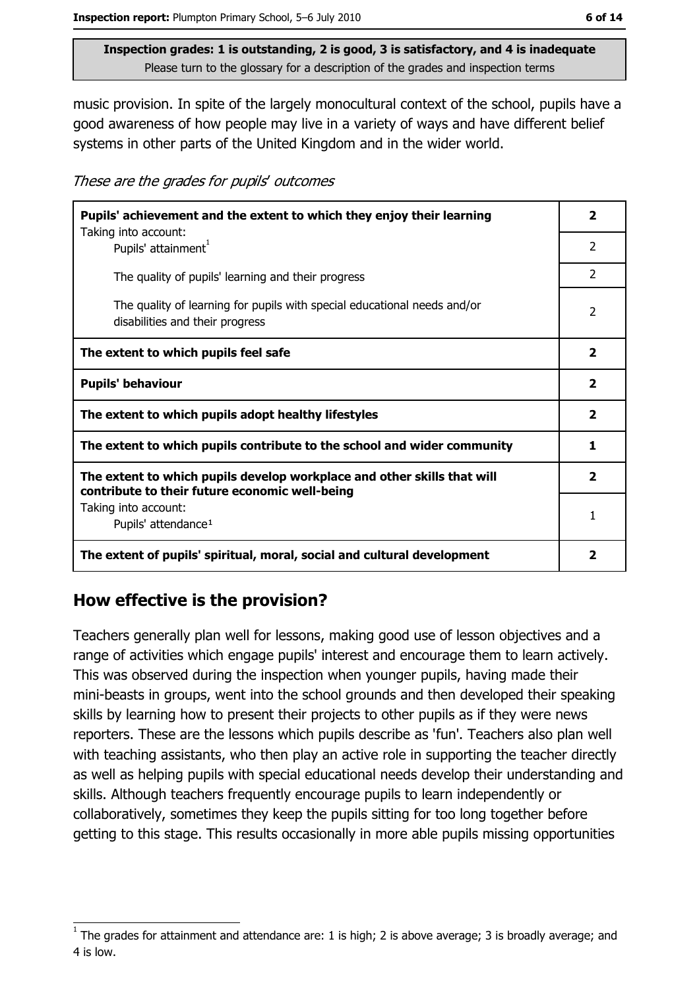music provision. In spite of the largely monocultural context of the school, pupils have a good awareness of how people may live in a variety of ways and have different belief systems in other parts of the United Kingdom and in the wider world.

These are the grades for pupils' outcomes

| Pupils' achievement and the extent to which they enjoy their learning                                                     |                         |
|---------------------------------------------------------------------------------------------------------------------------|-------------------------|
| Taking into account:<br>Pupils' attainment <sup>1</sup>                                                                   | $\mathcal{P}$           |
| The quality of pupils' learning and their progress                                                                        | 2                       |
| The quality of learning for pupils with special educational needs and/or<br>disabilities and their progress               | 2                       |
| The extent to which pupils feel safe                                                                                      | $\overline{\mathbf{2}}$ |
| <b>Pupils' behaviour</b>                                                                                                  | $\overline{\mathbf{2}}$ |
| The extent to which pupils adopt healthy lifestyles                                                                       | $\overline{\mathbf{2}}$ |
| The extent to which pupils contribute to the school and wider community                                                   |                         |
| The extent to which pupils develop workplace and other skills that will<br>contribute to their future economic well-being |                         |
| Taking into account:<br>Pupils' attendance <sup>1</sup>                                                                   | 1                       |
| The extent of pupils' spiritual, moral, social and cultural development                                                   | 2                       |

# How effective is the provision?

Teachers generally plan well for lessons, making good use of lesson objectives and a range of activities which engage pupils' interest and encourage them to learn actively. This was observed during the inspection when younger pupils, having made their mini-beasts in groups, went into the school grounds and then developed their speaking skills by learning how to present their projects to other pupils as if they were news reporters. These are the lessons which pupils describe as 'fun'. Teachers also plan well with teaching assistants, who then play an active role in supporting the teacher directly as well as helping pupils with special educational needs develop their understanding and skills. Although teachers frequently encourage pupils to learn independently or collaboratively, sometimes they keep the pupils sitting for too long together before getting to this stage. This results occasionally in more able pupils missing opportunities

The grades for attainment and attendance are: 1 is high; 2 is above average; 3 is broadly average; and 4 is low.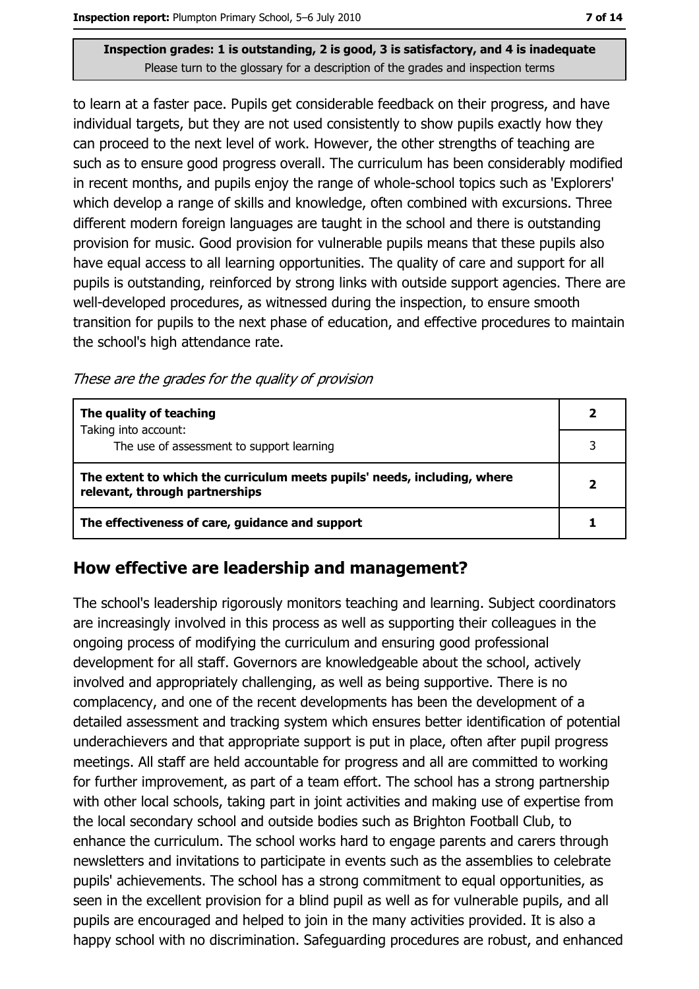to learn at a faster pace. Pupils get considerable feedback on their progress, and have individual targets, but they are not used consistently to show pupils exactly how they can proceed to the next level of work. However, the other strengths of teaching are such as to ensure good progress overall. The curriculum has been considerably modified in recent months, and pupils enjoy the range of whole-school topics such as 'Explorers' which develop a range of skills and knowledge, often combined with excursions. Three different modern foreign languages are taught in the school and there is outstanding provision for music. Good provision for vulnerable pupils means that these pupils also have equal access to all learning opportunities. The quality of care and support for all pupils is outstanding, reinforced by strong links with outside support agencies. There are well-developed procedures, as witnessed during the inspection, to ensure smooth transition for pupils to the next phase of education, and effective procedures to maintain the school's high attendance rate.

These are the grades for the quality of provision

| The quality of teaching                                                                                    |   |
|------------------------------------------------------------------------------------------------------------|---|
| Taking into account:<br>The use of assessment to support learning                                          | っ |
| The extent to which the curriculum meets pupils' needs, including, where<br>relevant, through partnerships |   |
| The effectiveness of care, guidance and support                                                            |   |

## How effective are leadership and management?

The school's leadership rigorously monitors teaching and learning. Subject coordinators are increasingly involved in this process as well as supporting their colleagues in the ongoing process of modifying the curriculum and ensuring good professional development for all staff. Governors are knowledgeable about the school, actively involved and appropriately challenging, as well as being supportive. There is no complacency, and one of the recent developments has been the development of a detailed assessment and tracking system which ensures better identification of potential underachievers and that appropriate support is put in place, often after pupil progress meetings. All staff are held accountable for progress and all are committed to working for further improvement, as part of a team effort. The school has a strong partnership with other local schools, taking part in joint activities and making use of expertise from the local secondary school and outside bodies such as Brighton Football Club, to enhance the curriculum. The school works hard to engage parents and carers through newsletters and invitations to participate in events such as the assemblies to celebrate pupils' achievements. The school has a strong commitment to equal opportunities, as seen in the excellent provision for a blind pupil as well as for vulnerable pupils, and all pupils are encouraged and helped to join in the many activities provided. It is also a happy school with no discrimination. Safeguarding procedures are robust, and enhanced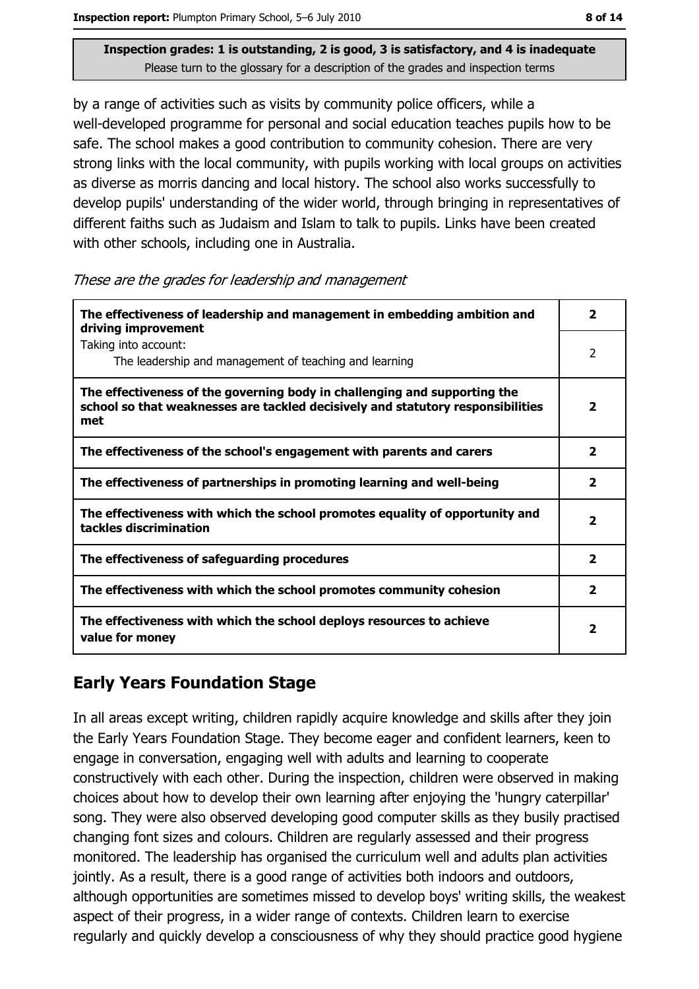Inspection report: Plumpton Primary School, 5-6 July 2010

Inspection grades: 1 is outstanding, 2 is good, 3 is satisfactory, and 4 is inadequate Please turn to the glossary for a description of the grades and inspection terms

by a range of activities such as visits by community police officers, while a well-developed programme for personal and social education teaches pupils how to be safe. The school makes a good contribution to community cohesion. There are very strong links with the local community, with pupils working with local groups on activities as diverse as morris dancing and local history. The school also works successfully to develop pupils' understanding of the wider world, through bringing in representatives of different faiths such as Judaism and Islam to talk to pupils. Links have been created with other schools, including one in Australia.

| These are the grades for leadership and management |  |
|----------------------------------------------------|--|
|----------------------------------------------------|--|

| The effectiveness of leadership and management in embedding ambition and<br>driving improvement                                                                     | 2                       |
|---------------------------------------------------------------------------------------------------------------------------------------------------------------------|-------------------------|
| Taking into account:<br>The leadership and management of teaching and learning                                                                                      | 2                       |
| The effectiveness of the governing body in challenging and supporting the<br>school so that weaknesses are tackled decisively and statutory responsibilities<br>met | $\overline{\mathbf{2}}$ |
| The effectiveness of the school's engagement with parents and carers                                                                                                | 2                       |
| The effectiveness of partnerships in promoting learning and well-being                                                                                              | $\overline{\mathbf{2}}$ |
| The effectiveness with which the school promotes equality of opportunity and<br>tackles discrimination                                                              | $\overline{\mathbf{2}}$ |
| The effectiveness of safeguarding procedures                                                                                                                        | $\mathbf{2}$            |
| The effectiveness with which the school promotes community cohesion                                                                                                 | 2                       |
| The effectiveness with which the school deploys resources to achieve<br>value for money                                                                             | 2                       |

# **Early Years Foundation Stage**

In all areas except writing, children rapidly acquire knowledge and skills after they join the Early Years Foundation Stage. They become eager and confident learners, keen to engage in conversation, engaging well with adults and learning to cooperate constructively with each other. During the inspection, children were observed in making choices about how to develop their own learning after enjoying the 'hungry caterpillar' song. They were also observed developing good computer skills as they busily practised changing font sizes and colours. Children are regularly assessed and their progress monitored. The leadership has organised the curriculum well and adults plan activities jointly. As a result, there is a good range of activities both indoors and outdoors, although opportunities are sometimes missed to develop boys' writing skills, the weakest aspect of their progress, in a wider range of contexts. Children learn to exercise regularly and quickly develop a consciousness of why they should practice good hygiene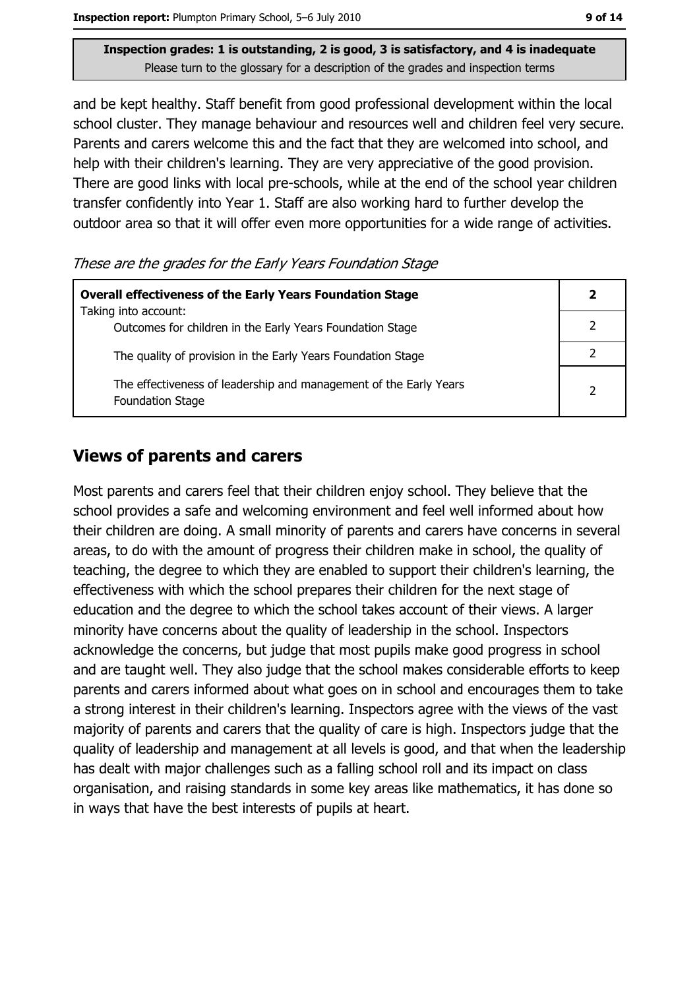Inspection report: Plumpton Primary School, 5-6 July 2010

Inspection grades: 1 is outstanding, 2 is good, 3 is satisfactory, and 4 is inadequate Please turn to the glossary for a description of the grades and inspection terms

and be kept healthy. Staff benefit from good professional development within the local school cluster. They manage behaviour and resources well and children feel very secure. Parents and carers welcome this and the fact that they are welcomed into school, and help with their children's learning. They are very appreciative of the good provision. There are good links with local pre-schools, while at the end of the school year children transfer confidently into Year 1. Staff are also working hard to further develop the outdoor area so that it will offer even more opportunities for a wide range of activities.

These are the grades for the Early Years Foundation Stage

| <b>Overall effectiveness of the Early Years Foundation Stage</b><br>Taking into account:     |               |
|----------------------------------------------------------------------------------------------|---------------|
| Outcomes for children in the Early Years Foundation Stage                                    |               |
| The quality of provision in the Early Years Foundation Stage                                 |               |
| The effectiveness of leadership and management of the Early Years<br><b>Foundation Stage</b> | $\mathcal{P}$ |

## **Views of parents and carers**

Most parents and carers feel that their children enjoy school. They believe that the school provides a safe and welcoming environment and feel well informed about how their children are doing. A small minority of parents and carers have concerns in several areas, to do with the amount of progress their children make in school, the quality of teaching, the degree to which they are enabled to support their children's learning, the effectiveness with which the school prepares their children for the next stage of education and the degree to which the school takes account of their views. A larger minority have concerns about the quality of leadership in the school. Inspectors acknowledge the concerns, but judge that most pupils make good progress in school and are taught well. They also judge that the school makes considerable efforts to keep parents and carers informed about what goes on in school and encourages them to take a strong interest in their children's learning. Inspectors agree with the views of the vast majority of parents and carers that the quality of care is high. Inspectors judge that the quality of leadership and management at all levels is good, and that when the leadership has dealt with major challenges such as a falling school roll and its impact on class organisation, and raising standards in some key areas like mathematics, it has done so in ways that have the best interests of pupils at heart.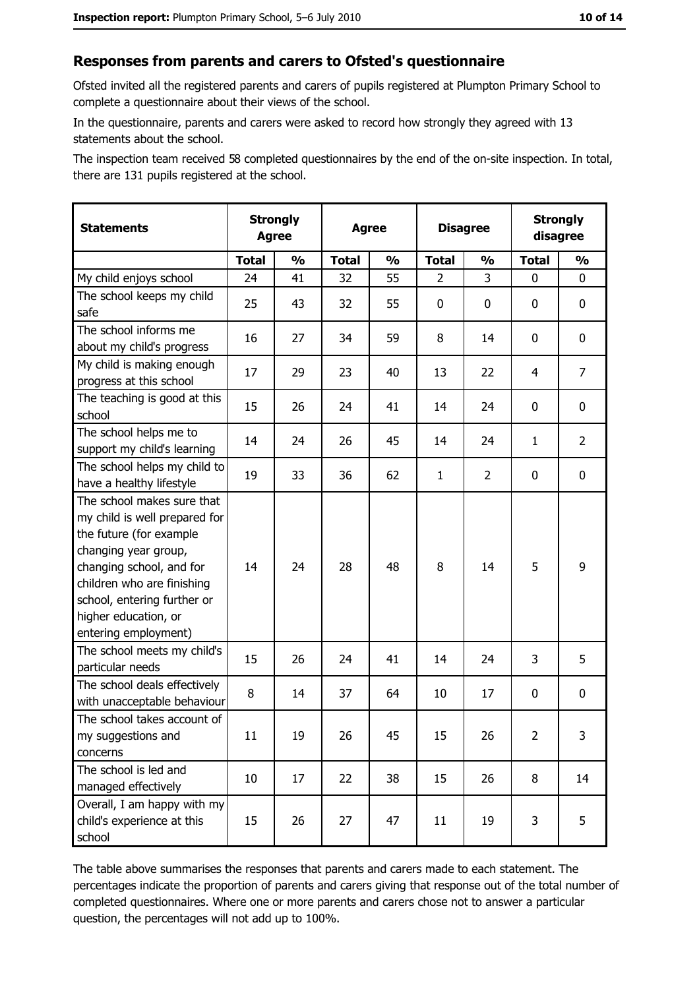#### Responses from parents and carers to Ofsted's questionnaire

Ofsted invited all the registered parents and carers of pupils registered at Plumpton Primary School to complete a questionnaire about their views of the school.

In the questionnaire, parents and carers were asked to record how strongly they agreed with 13 statements about the school.

The inspection team received 58 completed questionnaires by the end of the on-site inspection. In total, there are 131 pupils registered at the school.

| <b>Statements</b>                                                                                                                                                                                                                                       | <b>Strongly</b><br><b>Agree</b> |               | <b>Agree</b> |               | <b>Disagree</b> |                |                | <b>Strongly</b><br>disagree |
|---------------------------------------------------------------------------------------------------------------------------------------------------------------------------------------------------------------------------------------------------------|---------------------------------|---------------|--------------|---------------|-----------------|----------------|----------------|-----------------------------|
|                                                                                                                                                                                                                                                         | <b>Total</b>                    | $\frac{0}{0}$ | <b>Total</b> | $\frac{0}{0}$ | <b>Total</b>    | $\frac{0}{0}$  | <b>Total</b>   | $\frac{0}{0}$               |
| My child enjoys school                                                                                                                                                                                                                                  | 24                              | 41            | 32           | 55            | $\overline{2}$  | 3              | $\mathbf{0}$   | 0                           |
| The school keeps my child<br>safe                                                                                                                                                                                                                       | 25                              | 43            | 32           | 55            | $\mathbf 0$     | 0              | 0              | $\mathbf 0$                 |
| The school informs me<br>about my child's progress                                                                                                                                                                                                      | 16                              | 27            | 34           | 59            | 8               | 14             | 0              | 0                           |
| My child is making enough<br>progress at this school                                                                                                                                                                                                    | 17                              | 29            | 23           | 40            | 13              | 22             | 4              | 7                           |
| The teaching is good at this<br>school                                                                                                                                                                                                                  | 15                              | 26            | 24           | 41            | 14              | 24             | 0              | 0                           |
| The school helps me to<br>support my child's learning                                                                                                                                                                                                   | 14                              | 24            | 26           | 45            | 14              | 24             | 1              | $\overline{2}$              |
| The school helps my child to<br>have a healthy lifestyle                                                                                                                                                                                                | 19                              | 33            | 36           | 62            | $\mathbf{1}$    | $\overline{2}$ | 0              | $\mathbf 0$                 |
| The school makes sure that<br>my child is well prepared for<br>the future (for example<br>changing year group,<br>changing school, and for<br>children who are finishing<br>school, entering further or<br>higher education, or<br>entering employment) | 14                              | 24            | 28           | 48            | 8               | 14             | 5              | 9                           |
| The school meets my child's<br>particular needs                                                                                                                                                                                                         | 15                              | 26            | 24           | 41            | 14              | 24             | 3              | 5                           |
| The school deals effectively<br>with unacceptable behaviour                                                                                                                                                                                             | 8                               | 14            | 37           | 64            | 10              | 17             | 0              | 0                           |
| The school takes account of<br>my suggestions and<br>concerns                                                                                                                                                                                           | 11                              | 19            | 26           | 45            | 15              | 26             | $\overline{2}$ | 3                           |
| The school is led and<br>managed effectively                                                                                                                                                                                                            | 10                              | 17            | 22           | 38            | 15              | 26             | 8              | 14                          |
| Overall, I am happy with my<br>child's experience at this<br>school                                                                                                                                                                                     | 15                              | 26            | 27           | 47            | 11              | 19             | 3              | 5                           |

The table above summarises the responses that parents and carers made to each statement. The percentages indicate the proportion of parents and carers giving that response out of the total number of completed questionnaires. Where one or more parents and carers chose not to answer a particular question, the percentages will not add up to 100%.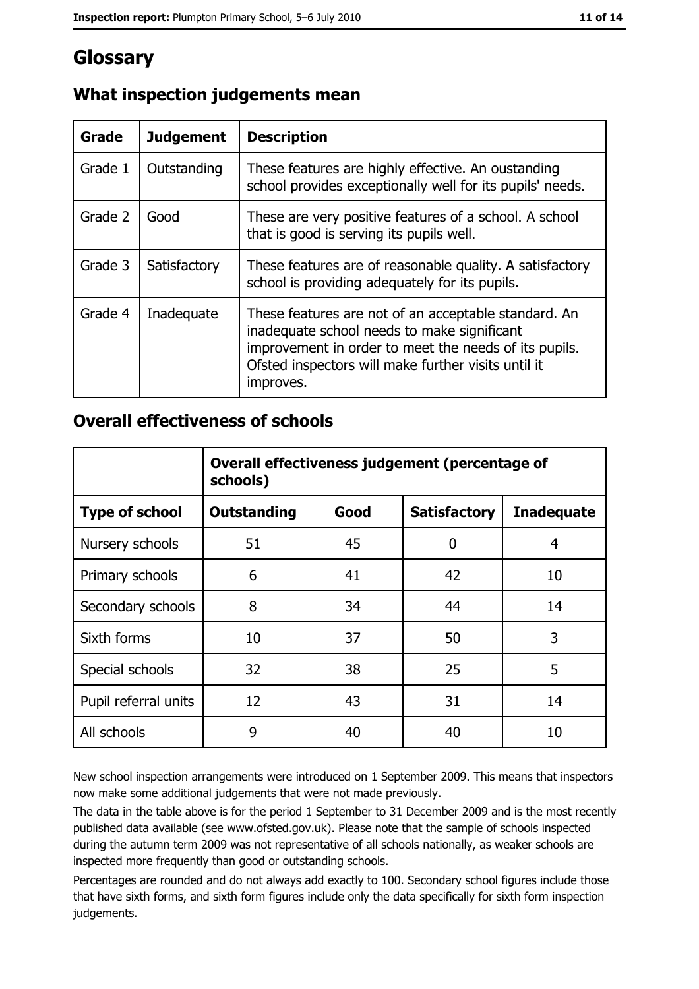# **Glossary**

| Grade   | <b>Judgement</b> | <b>Description</b>                                                                                                                                                                                                               |
|---------|------------------|----------------------------------------------------------------------------------------------------------------------------------------------------------------------------------------------------------------------------------|
| Grade 1 | Outstanding      | These features are highly effective. An oustanding<br>school provides exceptionally well for its pupils' needs.                                                                                                                  |
| Grade 2 | Good             | These are very positive features of a school. A school<br>that is good is serving its pupils well.                                                                                                                               |
| Grade 3 | Satisfactory     | These features are of reasonable quality. A satisfactory<br>school is providing adequately for its pupils.                                                                                                                       |
| Grade 4 | Inadequate       | These features are not of an acceptable standard. An<br>inadequate school needs to make significant<br>improvement in order to meet the needs of its pupils.<br>Ofsted inspectors will make further visits until it<br>improves. |

# What inspection judgements mean

## **Overall effectiveness of schools**

|                       | Overall effectiveness judgement (percentage of<br>schools) |      |                     |                   |  |
|-----------------------|------------------------------------------------------------|------|---------------------|-------------------|--|
| <b>Type of school</b> | <b>Outstanding</b>                                         | Good | <b>Satisfactory</b> | <b>Inadequate</b> |  |
| Nursery schools       | 51                                                         | 45   | 0                   | 4                 |  |
| Primary schools       | 6                                                          | 41   | 42                  | 10                |  |
| Secondary schools     | 8                                                          | 34   | 44                  | 14                |  |
| Sixth forms           | 10                                                         | 37   | 50                  | 3                 |  |
| Special schools       | 32                                                         | 38   | 25                  | 5                 |  |
| Pupil referral units  | 12                                                         | 43   | 31                  | 14                |  |
| All schools           | 9                                                          | 40   | 40                  | 10                |  |

New school inspection arrangements were introduced on 1 September 2009. This means that inspectors now make some additional judgements that were not made previously.

The data in the table above is for the period 1 September to 31 December 2009 and is the most recently published data available (see www.ofsted.gov.uk). Please note that the sample of schools inspected during the autumn term 2009 was not representative of all schools nationally, as weaker schools are inspected more frequently than good or outstanding schools.

Percentages are rounded and do not always add exactly to 100. Secondary school figures include those that have sixth forms, and sixth form figures include only the data specifically for sixth form inspection judgements.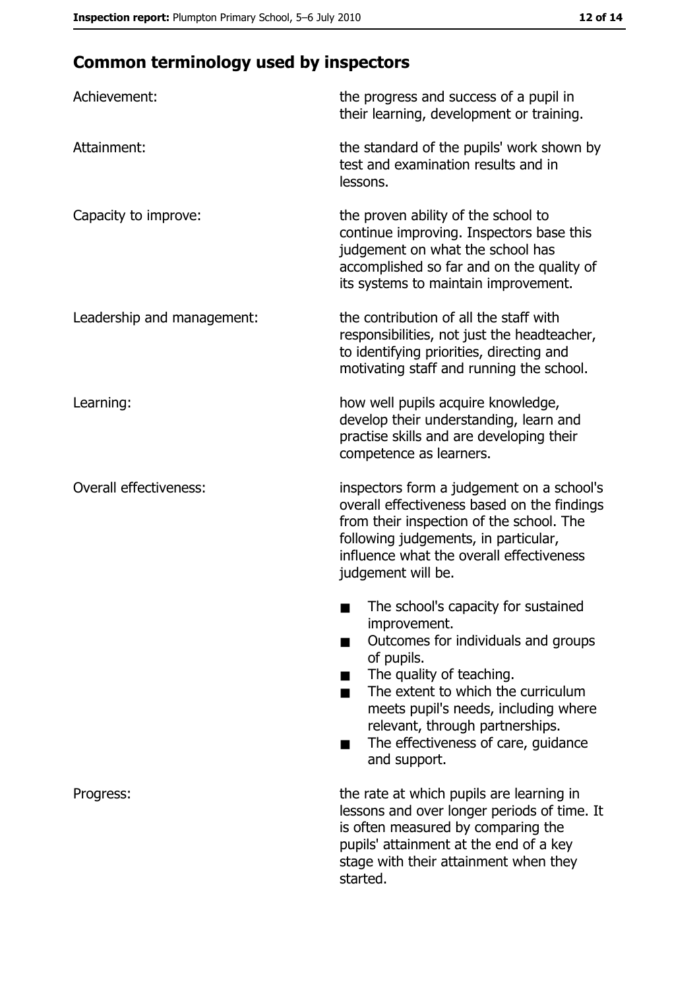# **Common terminology used by inspectors**

| Achievement:                  | the progress and success of a pupil in<br>their learning, development or training.                                                                                                                                                                                                                           |
|-------------------------------|--------------------------------------------------------------------------------------------------------------------------------------------------------------------------------------------------------------------------------------------------------------------------------------------------------------|
| Attainment:                   | the standard of the pupils' work shown by<br>test and examination results and in<br>lessons.                                                                                                                                                                                                                 |
| Capacity to improve:          | the proven ability of the school to<br>continue improving. Inspectors base this<br>judgement on what the school has<br>accomplished so far and on the quality of<br>its systems to maintain improvement.                                                                                                     |
| Leadership and management:    | the contribution of all the staff with<br>responsibilities, not just the headteacher,<br>to identifying priorities, directing and<br>motivating staff and running the school.                                                                                                                                |
| Learning:                     | how well pupils acquire knowledge,<br>develop their understanding, learn and<br>practise skills and are developing their<br>competence as learners.                                                                                                                                                          |
| <b>Overall effectiveness:</b> | inspectors form a judgement on a school's<br>overall effectiveness based on the findings<br>from their inspection of the school. The<br>following judgements, in particular,<br>influence what the overall effectiveness<br>judgement will be.                                                               |
|                               | The school's capacity for sustained<br>improvement.<br>Outcomes for individuals and groups<br>of pupils.<br>The quality of teaching.<br>The extent to which the curriculum<br>meets pupil's needs, including where<br>relevant, through partnerships.<br>The effectiveness of care, guidance<br>and support. |
| Progress:                     | the rate at which pupils are learning in<br>lessons and over longer periods of time. It<br>is often measured by comparing the<br>pupils' attainment at the end of a key<br>stage with their attainment when they<br>started.                                                                                 |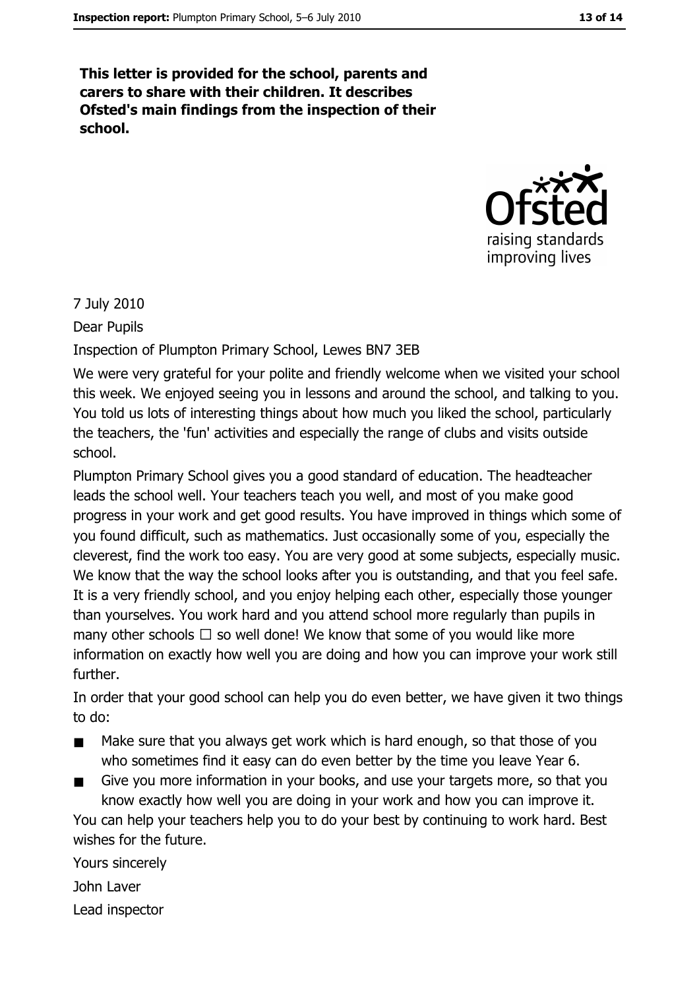This letter is provided for the school, parents and carers to share with their children. It describes Ofsted's main findings from the inspection of their school.



7 July 2010

Dear Pupils

Inspection of Plumpton Primary School, Lewes BN7 3EB

We were very grateful for your polite and friendly welcome when we visited your school this week. We enjoyed seeing you in lessons and around the school, and talking to you. You told us lots of interesting things about how much you liked the school, particularly the teachers, the 'fun' activities and especially the range of clubs and visits outside school.

Plumpton Primary School gives you a good standard of education. The headteacher leads the school well. Your teachers teach you well, and most of you make good progress in your work and get good results. You have improved in things which some of you found difficult, such as mathematics. Just occasionally some of you, especially the cleverest, find the work too easy. You are very good at some subjects, especially music. We know that the way the school looks after you is outstanding, and that you feel safe. It is a very friendly school, and you enjoy helping each other, especially those younger than yourselves. You work hard and you attend school more regularly than pupils in many other schools  $\Box$  so well done! We know that some of you would like more information on exactly how well you are doing and how you can improve your work still further.

In order that your good school can help you do even better, we have given it two things to do:

- Make sure that you always get work which is hard enough, so that those of you who sometimes find it easy can do even better by the time you leave Year 6.
- Give you more information in your books, and use your targets more, so that you know exactly how well you are doing in your work and how you can improve it.

You can help your teachers help you to do your best by continuing to work hard. Best wishes for the future.

Yours sincerely John Laver Lead inspector